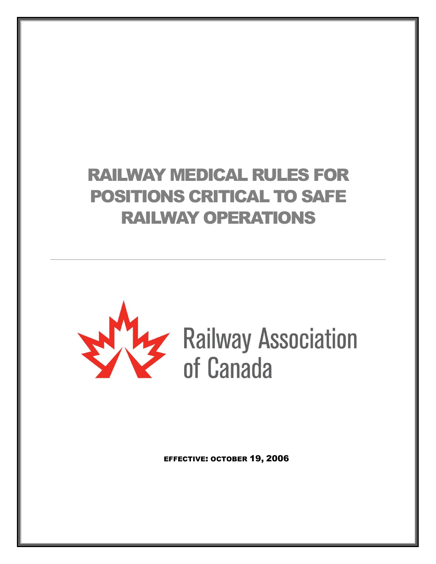# RAILWAY MEDICAL RULES FOR POSITIONS CRITICAL TO SAFE RAILWAY OPERATIONS



EFFECTIVE: OCTOBER 19, 2006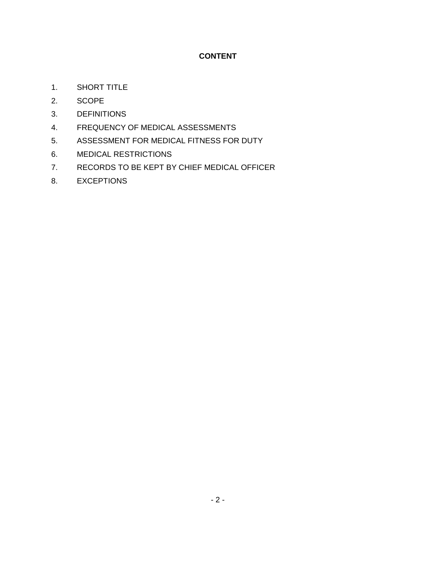## **CONTENT**

- 1. SHORT TITLE
- 2. SCOPE
- 3. DEFINITIONS
- 4. FREQUENCY OF MEDICAL ASSESSMENTS
- 5. ASSESSMENT FOR MEDICAL FITNESS FOR DUTY
- 6. MEDICAL RESTRICTIONS
- 7. RECORDS TO BE KEPT BY CHIEF MEDICAL OFFICER
- 8. EXCEPTIONS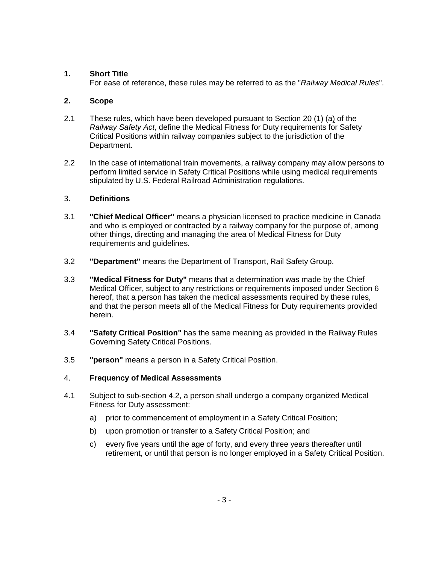## **1. Short Title**

For ease of reference, these rules may be referred to as the "*Railway Medical Rules*".

## **2. Scope**

- 2.1 These rules, which have been developed pursuant to Section 20 (1) (a) of the *Railway Safety Act*, define the Medical Fitness for Duty requirements for Safety Critical Positions within railway companies subject to the jurisdiction of the Department.
- 2.2 In the case of international train movements, a railway company may allow persons to perform limited service in Safety Critical Positions while using medical requirements stipulated by U.S. Federal Railroad Administration regulations.

## 3. **Definitions**

- 3.1 **"Chief Medical Officer"** means a physician licensed to practice medicine in Canada and who is employed or contracted by a railway company for the purpose of, among other things, directing and managing the area of Medical Fitness for Duty requirements and guidelines.
- 3.2 **"Department"** means the Department of Transport, Rail Safety Group.
- 3.3 **"Medical Fitness for Duty"** means that a determination was made by the Chief Medical Officer, subject to any restrictions or requirements imposed under Section 6 hereof, that a person has taken the medical assessments required by these rules, and that the person meets all of the Medical Fitness for Duty requirements provided herein.
- 3.4 **"Safety Critical Position"** has the same meaning as provided in the Railway Rules Governing Safety Critical Positions.
- 3.5 **"person"** means a person in a Safety Critical Position.

#### 4. **Frequency of Medical Assessments**

- 4.1 Subject to sub-section 4.2, a person shall undergo a company organized Medical Fitness for Duty assessment:
	- a) prior to commencement of employment in a Safety Critical Position;
	- b) upon promotion or transfer to a Safety Critical Position; and
	- c) every five years until the age of forty, and every three years thereafter until retirement, or until that person is no longer employed in a Safety Critical Position.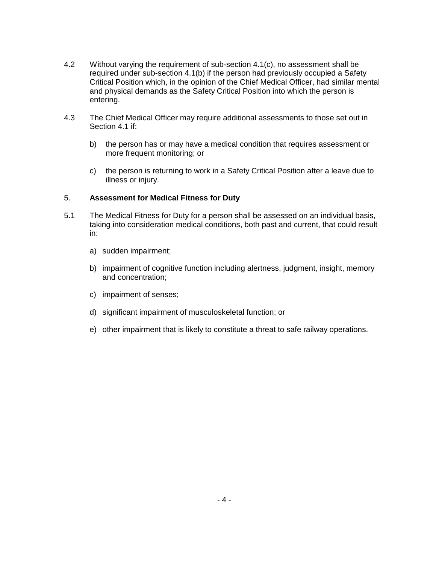- 4.2 Without varying the requirement of sub-section 4.1(c), no assessment shall be required under sub-section 4.1(b) if the person had previously occupied a Safety Critical Position which, in the opinion of the Chief Medical Officer, had similar mental and physical demands as the Safety Critical Position into which the person is entering.
- 4.3 The Chief Medical Officer may require additional assessments to those set out in Section 4.1 if:
	- b) the person has or may have a medical condition that requires assessment or more frequent monitoring; or
	- c) the person is returning to work in a Safety Critical Position after a leave due to illness or injury.

## 5. **Assessment for Medical Fitness for Duty**

- 5.1 The Medical Fitness for Duty for a person shall be assessed on an individual basis, taking into consideration medical conditions, both past and current, that could result in:
	- a) sudden impairment;
	- b) impairment of cognitive function including alertness, judgment, insight, memory and concentration;
	- c) impairment of senses;
	- d) significant impairment of musculoskeletal function; or
	- e) other impairment that is likely to constitute a threat to safe railway operations.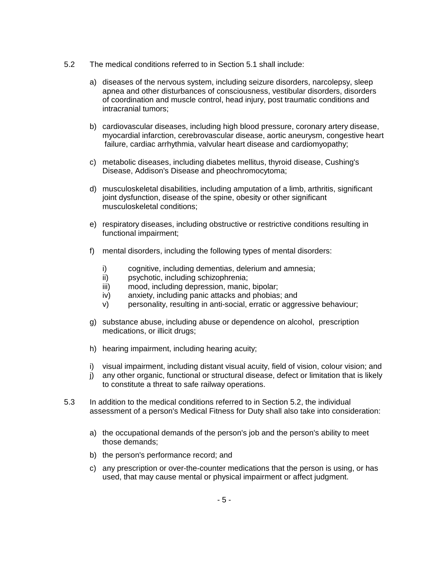- 5.2 The medical conditions referred to in Section 5.1 shall include:
	- a) diseases of the nervous system, including seizure disorders, narcolepsy, sleep apnea and other disturbances of consciousness, vestibular disorders, disorders of coordination and muscle control, head injury, post traumatic conditions and intracranial tumors;
	- b) cardiovascular diseases, including high blood pressure, coronary artery disease, myocardial infarction, cerebrovascular disease, aortic aneurysm, congestive heart failure, cardiac arrhythmia, valvular heart disease and cardiomyopathy;
	- c) metabolic diseases, including diabetes mellitus, thyroid disease, Cushing's Disease, Addison's Disease and pheochromocytoma;
	- d) musculoskeletal disabilities, including amputation of a limb, arthritis, significant joint dysfunction, disease of the spine, obesity or other significant musculoskeletal conditions;
	- e) respiratory diseases, including obstructive or restrictive conditions resulting in functional impairment;
	- f) mental disorders, including the following types of mental disorders:
		- i) cognitive, including dementias, delerium and amnesia;
		- ii) psychotic, including schizophrenia;
		- iii) mood, including depression, manic, bipolar;
		- iv) anxiety, including panic attacks and phobias; and
		- v) personality, resulting in anti-social, erratic or aggressive behaviour;
	- g) substance abuse, including abuse or dependence on alcohol, prescription medications, or illicit drugs;
	- h) hearing impairment, including hearing acuity;
	- i) visual impairment, including distant visual acuity, field of vision, colour vision; and
	- j) any other organic, functional or structural disease, defect or limitation that is likely to constitute a threat to safe railway operations.
- 5.3 In addition to the medical conditions referred to in Section 5.2, the individual assessment of a person's Medical Fitness for Duty shall also take into consideration:
	- a) the occupational demands of the person's job and the person's ability to meet those demands;
	- b) the person's performance record; and
	- c) any prescription or over-the-counter medications that the person is using, or has used, that may cause mental or physical impairment or affect judgment.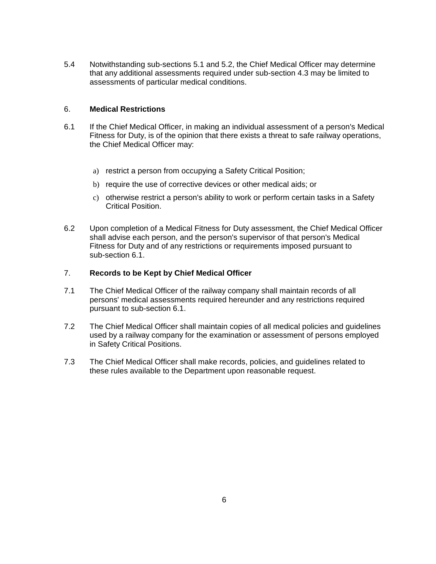5.4 Notwithstanding sub-sections 5.1 and 5.2, the Chief Medical Officer may determine that any additional assessments required under sub-section 4.3 may be limited to assessments of particular medical conditions.

#### 6. **Medical Restrictions**

- 6.1 If the Chief Medical Officer, in making an individual assessment of a person's Medical Fitness for Duty, is of the opinion that there exists a threat to safe railway operations, the Chief Medical Officer may:
	- a) restrict a person from occupying a Safety Critical Position;
	- b) require the use of corrective devices or other medical aids; or
	- c) otherwise restrict a person's ability to work or perform certain tasks in a Safety Critical Position.
- 6.2 Upon completion of a Medical Fitness for Duty assessment, the Chief Medical Officer shall advise each person, and the person's supervisor of that person's Medical Fitness for Duty and of any restrictions or requirements imposed pursuant to sub-section 6.1.

## 7. **Records to be Kept by Chief Medical Officer**

- 7.1 The Chief Medical Officer of the railway company shall maintain records of all persons' medical assessments required hereunder and any restrictions required pursuant to sub-section 6.1.
- 7.2 The Chief Medical Officer shall maintain copies of all medical policies and guidelines used by a railway company for the examination or assessment of persons employed in Safety Critical Positions.
- 7.3 The Chief Medical Officer shall make records, policies, and guidelines related to these rules available to the Department upon reasonable request.